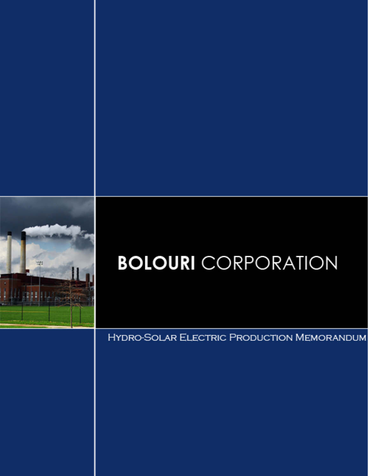

# **BOLOURI** CORPORATION

**HYDRO-SOLAR ELECTRIC PRODUCTION MEMORANDUM**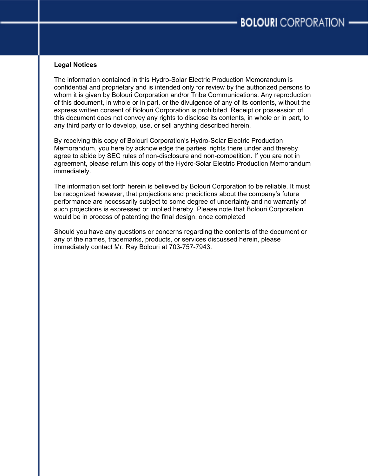#### **Legal Notices**

The information contained in this Hydro-Solar Electric Production Memorandum is confidential and proprietary and is intended only for review by the authorized persons to whom it is given by Bolouri Corporation and/or Tribe Communications. Any reproduction of this document, in whole or in part, or the divulgence of any of its contents, without the express written consent of Bolouri Corporation is prohibited. Receipt or possession of this document does not convey any rights to disclose its contents, in whole or in part, to any third party or to develop, use, or sell anything described herein.

By receiving this copy of Bolouri Corporation's Hydro-Solar Electric Production Memorandum, you here by acknowledge the parties' rights there under and thereby agree to abide by SEC rules of non-disclosure and non-competition. If you are not in agreement, please return this copy of the Hydro-Solar Electric Production Memorandum immediately.

The information set forth herein is believed by Bolouri Corporation to be reliable. It must be recognized however, that projections and predictions about the company's future performance are necessarily subject to some degree of uncertainty and no warranty of such projections is expressed or implied hereby. Please note that Bolouri Corporation would be in process of patenting the final design, once completed

Should you have any questions or concerns regarding the contents of the document or any of the names, trademarks, products, or services discussed herein, please immediately contact Mr. Ray Bolouri at 703-757-7943.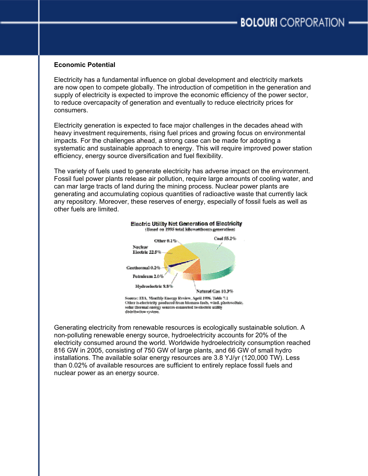#### **Economic Potential**

Electricity has a fundamental influence on global development and electricity markets are now open to compete globally. The introduction of competition in the generation and supply of electricity is expected to improve the economic efficiency of the power sector, to reduce overcapacity of generation and eventually to reduce electricity prices for consumers.

Electricity generation is expected to face major challenges in the decades ahead with heavy investment requirements, rising fuel prices and growing focus on environmental impacts. For the challenges ahead, a strong case can be made for adopting a systematic and sustainable approach to energy. This will require improved power station efficiency, energy source diversification and fuel flexibility.

The variety of fuels used to generate electricity has adverse impact on the environment. Fossil fuel power plants release air pollution, require large amounts of cooling water, and can mar large tracts of land during the mining process. Nuclear power plants are generating and accumulating copious quantities of radioactive waste that currently lack any repository. Moreover, these reserves of energy, especially of fossil fuels as well as other fuels are limited.



Generating electricity from renewable resources is ecologically sustainable solution. A non-polluting renewable energy source, hydroelectricity accounts for 20% of the electricity consumed around the world. Worldwide hydroelectricity consumption reached 816 GW in 2005, consisting of 750 GW of large plants, and 66 GW of small hydro installations. The available solar energy resources are 3.8 YJ/yr (120,000 TW). Less than 0.02% of available resources are sufficient to entirely replace fossil fuels and nuclear power as an energy source.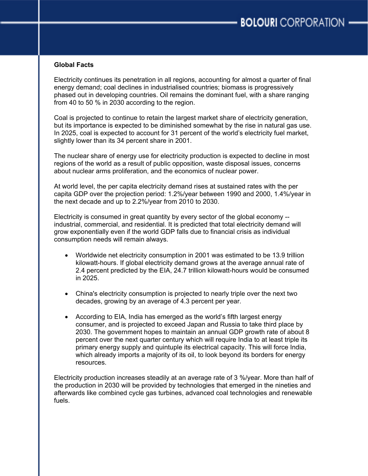# **Global Facts**

Electricity continues its penetration in all regions, accounting for almost a quarter of final energy demand; coal declines in industrialised countries; biomass is progressively phased out in developing countries. Oil remains the dominant fuel, with a share ranging from 40 to 50 % in 2030 according to the region.

Coal is projected to continue to retain the largest market share of electricity generation, but its importance is expected to be diminished somewhat by the rise in natural gas use. In 2025, coal is expected to account for 31 percent of the world's electricity fuel market, slightly lower than its 34 percent share in 2001.

The nuclear share of energy use for electricity production is expected to decline in most regions of the world as a result of public opposition, waste disposal issues, concerns about nuclear arms proliferation, and the economics of nuclear power.

At world level, the per capita electricity demand rises at sustained rates with the per capita GDP over the projection period: 1.2%/year between 1990 and 2000, 1.4%/year in the next decade and up to 2.2%/year from 2010 to 2030.

Electricity is consumed in great quantity by every sector of the global economy - industrial, commercial, and residential. It is predicted that total electricity demand will grow exponentially even if the world GDP falls due to financial crisis as individual consumption needs will remain always.

- Worldwide net electricity consumption in 2001 was estimated to be 13.9 trillion kilowatt-hours. If global electricity demand grows at the average annual rate of 2.4 percent predicted by the EIA, 24.7 trillion kilowatt-hours would be consumed in 2025.
- China's electricity consumption is projected to nearly triple over the next two decades, growing by an average of 4.3 percent per year.
- According to EIA, India has emerged as the world's fifth largest energy consumer, and is projected to exceed Japan and Russia to take third place by 2030. The government hopes to maintain an annual GDP growth rate of about 8 percent over the next quarter century which will require India to at least triple its primary energy supply and quintuple its electrical capacity. This will force India, which already imports a majority of its oil, to look beyond its borders for energy resources.

Electricity production increases steadily at an average rate of 3 %/year. More than half of the production in 2030 will be provided by technologies that emerged in the nineties and afterwards like combined cycle gas turbines, advanced coal technologies and renewable fuels.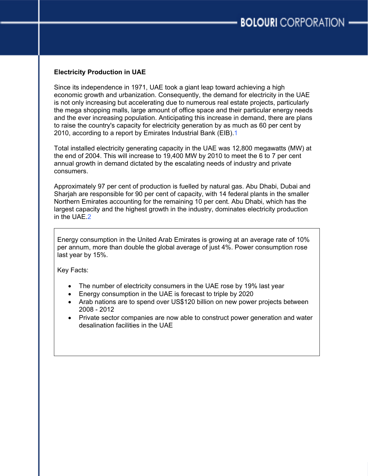# **Electricity Production in UAE**

Since its independence in 1971, UAE took a giant leap toward achieving a high economic growth and urbanization. Consequently, the demand for electricity in the UAE is not only increasing but accelerating due to numerous real estate projects, particularly the mega shopping malls, large amount of office space and their particular energy needs and the ever increasing population. Anticipating this increase in demand, there are plans to raise the country's capacity for electricity generation by as much as 60 per cent by 2010, according to a report by Emirates Industrial Bank (EIB).1

Total installed electricity generating capacity in the UAE was 12,800 megawatts (MW) at the end of 2004. This will increase to 19,400 MW by 2010 to meet the 6 to 7 per cent annual growth in demand dictated by the escalating needs of industry and private consumers.

Approximately 97 per cent of production is fuelled by natural gas. Abu Dhabi, Dubai and Sharjah are responsible for 90 per cent of capacity, with 14 federal plants in the smaller Northern Emirates accounting for the remaining 10 per cent. Abu Dhabi, which has the largest capacity and the highest growth in the industry, dominates electricity production in the UAE.2

Energy consumption in the United Arab Emirates is growing at an average rate of 10% per annum, more than double the global average of just 4%. Power consumption rose last year by 15%.

Key Facts:

- The number of electricity consumers in the UAE rose by 19% last year
- Energy consumption in the UAE is forecast to triple by 2020
- Arab nations are to spend over US\$120 billion on new power projects between 2008 - 2012
- Private sector companies are now able to construct power generation and water desalination facilities in the UAE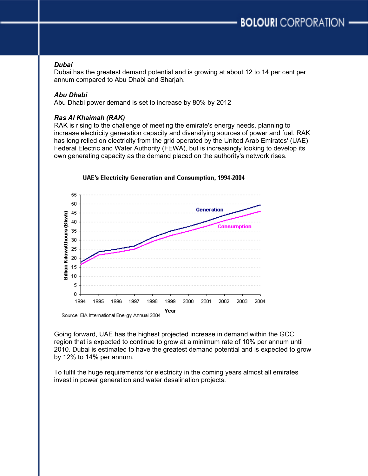#### *Dubai*

Dubai has the greatest demand potential and is growing at about 12 to 14 per cent per annum compared to Abu Dhabi and Sharjah.

# *Abu Dhabi*

Abu Dhabi power demand is set to increase by 80% by 2012

# *Ras Al Khaimah (RAK)*

RAK is rising to the challenge of meeting the emirate's energy needs, planning to increase electricity generation capacity and diversifying sources of power and fuel. RAK has long relied on electricity from the grid operated by the United Arab Emirates' (UAE) Federal Electric and Water Authority (FEWA), but is increasingly looking to develop its own generating capacity as the demand placed on the authority's network rises.



Going forward, UAE has the highest projected increase in demand within the GCC region that is expected to continue to grow at a minimum rate of 10% per annum until 2010. Dubai is estimated to have the greatest demand potential and is expected to grow by 12% to 14% per annum.

To fulfil the huge requirements for electricity in the coming years almost all emirates invest in power generation and water desalination projects.

# UAE's Electricity Generation and Consumption, 1994-2004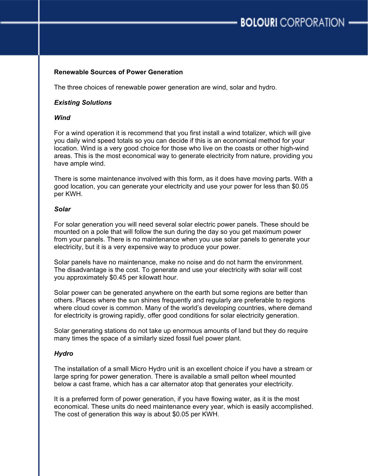# **Renewable Sources of Power Generation**

The three choices of renewable power generation are wind, solar and hydro.

# *Existing Solutions*

# *Wind*

For a wind operation it is recommend that you first install a wind totalizer, which will give you daily wind speed totals so you can decide if this is an economical method for your location. Wind is a very good choice for those who live on the coasts or other high-wind areas. This is the most economical way to generate electricity from nature, providing you have ample wind.

There is some maintenance involved with this form, as it does have moving parts. With a good location, you can generate your electricity and use your power for less than \$0.05 per KWH.

#### *Solar*

For solar generation you will need several solar electric power panels. These should be mounted on a pole that will follow the sun during the day so you get maximum power from your panels. There is no maintenance when you use solar panels to generate your electricity, but it is a very expensive way to produce your power.

Solar panels have no maintenance, make no noise and do not harm the environment. The disadvantage is the cost. To generate and use your electricity with solar will cost you approximately \$0.45 per kilowatt hour.

Solar power can be generated anywhere on the earth but some regions are better than others. Places where the sun shines frequently and regularly are preferable to regions where cloud cover is common. Many of the world's developing countries, where demand for electricity is growing rapidly, offer good conditions for solar electricity generation.

Solar generating stations do not take up enormous amounts of land but they do require many times the space of a similarly sized fossil fuel power plant.

#### *Hydro*

The installation of a small Micro Hydro unit is an excellent choice if you have a stream or large spring for power generation. There is available a small pelton wheel mounted below a cast frame, which has a car alternator atop that generates your electricity.

It is a preferred form of power generation, if you have flowing water, as it is the most economical. These units do need maintenance every year, which is easily accomplished. The cost of generation this way is about \$0.05 per KWH.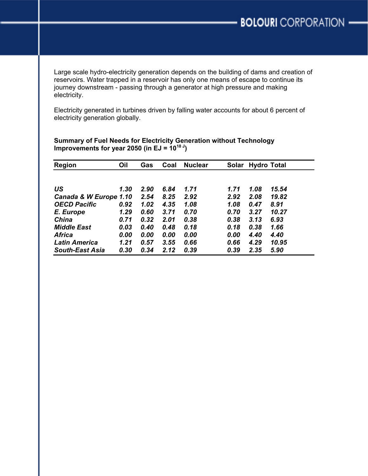Large scale hydro-electricity generation depends on the building of dams and creation of reservoirs. Water trapped in a reservoir has only one means of escape to continue its journey downstream - passing through a generator at high pressure and making electricity.

Electricity generated in turbines driven by falling water accounts for about 6 percent of electricity generation globally.

| <b>Region</b>          | Oil  | Gas  | Coal | <b>Nuclear</b> | Solar | <b>Hydro Total</b> |       |
|------------------------|------|------|------|----------------|-------|--------------------|-------|
|                        |      |      |      |                |       |                    |       |
| US                     | 1.30 | 2.90 | 6.84 | 1.71           | 1.71  | 1.08               | 15.54 |
| Canada & W Europe 1.10 |      | 2.54 | 8.25 | 2.92           | 2.92  | 2.08               | 19.82 |
| <b>OECD Pacific</b>    | 0.92 | 1.02 | 4.35 | 1.08           | 1.08  | 0.47               | 8.91  |
| E. Europe              | 1.29 | 0.60 | 3.71 | 0.70           | 0.70  | 3.27               | 10.27 |
| <b>China</b>           | 0.71 | 0.32 | 2.01 | 0.38           | 0.38  | 3.13               | 6.93  |
| <b>Middle East</b>     | 0.03 | 0.40 | 0.48 | 0.18           | 0.18  | 0.38               | 1.66  |
| <b>Africa</b>          | 0.00 | 0.00 | 0.00 | 0.00           | 0.00  | 4.40               | 4.40  |
| <b>Latin America</b>   | 1.21 | 0.57 | 3.55 | 0.66           | 0.66  | 4.29               | 10.95 |
| <b>South-East Asia</b> | 0.30 | 0.34 | 2.12 | 0.39           | 0.39  | 2.35               | 5.90  |

# **Summary of Fuel Needs for Electricity Generation without Technology Improvements for year 2050 (in EJ =**  $10^{18}$ **<sup>J</sup>)**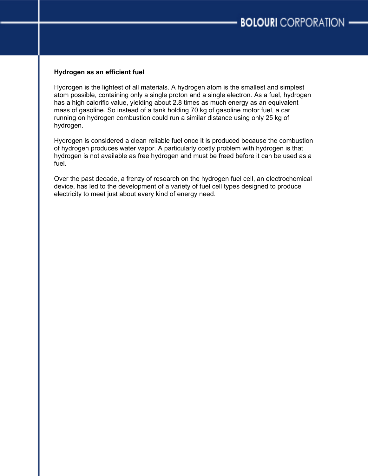# **Hydrogen as an efficient fuel**

Hydrogen is the lightest of all materials. A hydrogen atom is the smallest and simplest atom possible, containing only a single proton and a single electron. As a fuel, hydrogen has a high calorific value, yielding about 2.8 times as much energy as an equivalent mass of gasoline. So instead of a tank holding 70 kg of gasoline motor fuel, a car running on hydrogen combustion could run a similar distance using only 25 kg of hydrogen.

Hydrogen is considered a clean reliable fuel once it is produced because the combustion of hydrogen produces water vapor. A particularly costly problem with hydrogen is that hydrogen is not available as free hydrogen and must be freed before it can be used as a fuel.

Over the past decade, a frenzy of research on the hydrogen fuel cell, an electrochemical device, has led to the development of a variety of fuel cell types designed to produce electricity to meet just about every kind of energy need.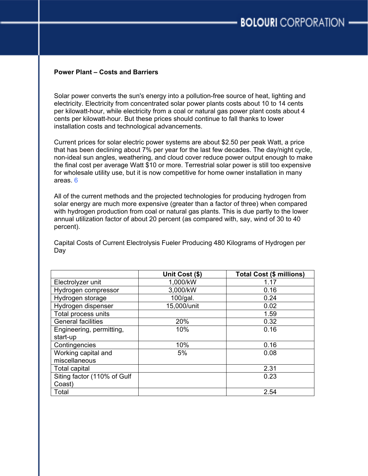# **Power Plant – Costs and Barriers**

Solar power converts the sun's energy into a pollution-free source of heat, lighting and electricity. Electricity from concentrated solar power plants costs about 10 to 14 cents per kilowatt-hour, while electricity from a coal or natural gas power plant costs about 4 cents per kilowatt-hour. But these prices should continue to fall thanks to lower installation costs and technological advancements.

Current prices for solar electric power systems are about \$2.50 per peak Watt, a price that has been declining about 7% per year for the last few decades. The day/night cycle, non-ideal sun angles, weathering, and cloud cover reduce power output enough to make the final cost per average Watt \$10 or more. Terrestrial solar power is still too expensive for wholesale utility use, but it is now competitive for home owner installation in many areas. 6

All of the current methods and the projected technologies for producing hydrogen from solar energy are much more expensive (greater than a factor of three) when compared with hydrogen production from coal or natural gas plants. This is due partly to the lower annual utilization factor of about 20 percent (as compared with, say, wind of 30 to 40 percent).

Capital Costs of Current Electrolysis Fueler Producing 480 Kilograms of Hydrogen per Day

|                             | Unit Cost (\$) | <b>Total Cost (\$ millions)</b> |  |
|-----------------------------|----------------|---------------------------------|--|
| Electrolyzer unit           | 1,000/kW       | 1.17                            |  |
| Hydrogen compressor         | 3,000/kW       | 0.16                            |  |
| Hydrogen storage            | $100$ /gal.    | 0.24                            |  |
| Hydrogen dispenser          | 15,000/unit    | 0.02                            |  |
| Total process units         |                | 1.59                            |  |
| <b>General facilities</b>   | 20%            | 0.32                            |  |
| Engineering, permitting,    | 10%            | 0.16                            |  |
| start-up                    |                |                                 |  |
| Contingencies               | 10%            | 0.16                            |  |
| Working capital and         | 5%             | 0.08                            |  |
| miscellaneous               |                |                                 |  |
| Total capital               |                | 2.31                            |  |
| Siting factor (110% of Gulf |                | 0.23                            |  |
| Coast)                      |                |                                 |  |
| Total                       |                | 2.54                            |  |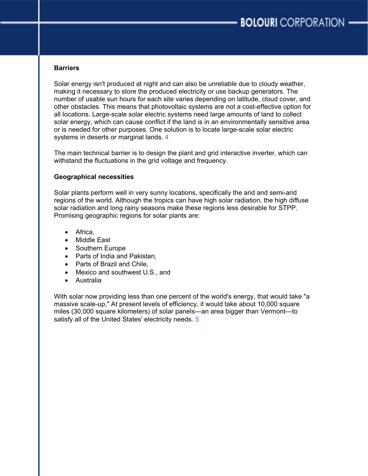# **Barriers**

Solar energy isn't produced at night and can also be unreliable due to cloudy weather, making it necessary to store the produced electricity or use backup generators. The number of usable sun hours for each site varies depending on latitude, cloud cover, and other obstacles. This means that photovoltaic systems are not a cost-effective option for all locations. Large-scale solar electric systems need large amounts of land to collect solar energy, which can cause conflict if the land is in an environmentally sensitive area or is needed for other purposes. One solution is to locate large-scale solar electric systems in deserts or marginal lands 4

The main technical barrier is to design the plant and grid interactive inverter, which can withstand the fluctuations in the grid voltage and frequency.

# **Geographical necessities**

Solar plants perform well in very sunny locations, specifically the arid and semi-arid regions of the world. Although the tropics can have high solar radiation, the high diffuse solar radiation and long rainy seasons make these regions less desirable for STPP. Promising geographic regions for solar plants are:

- Africa,
- Middle East
- Southern Europe
- Parts of India and Pakistan,
- Parts of Brazil and Chile,
- Mexico and southwest U.S., and
- Australia

With solar now providing less than one percent of the world's energy, that would take "a massive scale-up," At present levels of efficiency, it would take about 10,000 square miles (30,000 square kilometers) of solar panels—an area bigger than Vermont—to satisfy all of the United States' electricity needs. 5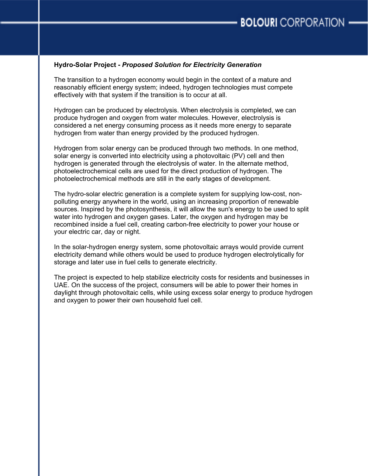# **Hydro-Solar Project -** *Proposed Solution for Electricity Generation*

The transition to a hydrogen economy would begin in the context of a mature and reasonably efficient energy system; indeed, hydrogen technologies must compete effectively with that system if the transition is to occur at all.

Hydrogen can be produced by electrolysis. When electrolysis is completed, we can produce hydrogen and oxygen from water molecules. However, electrolysis is considered a net energy consuming process as it needs more energy to separate hydrogen from water than energy provided by the produced hydrogen.

Hydrogen from solar energy can be produced through two methods. In one method, solar energy is converted into electricity using a photovoltaic (PV) cell and then hydrogen is generated through the electrolysis of water. In the alternate method, photoelectrochemical cells are used for the direct production of hydrogen. The photoelectrochemical methods are still in the early stages of development.

The hydro-solar electric generation is a complete system for supplying low-cost, nonpolluting energy anywhere in the world, using an increasing proportion of renewable sources. Inspired by the photosynthesis, it will allow the sun's energy to be used to split water into hydrogen and oxygen gases. Later, the oxygen and hydrogen may be recombined inside a fuel cell, creating carbon-free electricity to power your house or your electric car, day or night.

In the solar-hydrogen energy system, some photovoltaic arrays would provide current electricity demand while others would be used to produce hydrogen electrolytically for storage and later use in fuel cells to generate electricity.

The project is expected to help stabilize electricity costs for residents and businesses in UAE. On the success of the project, consumers will be able to power their homes in daylight through photovoltaic cells, while using excess solar energy to produce hydrogen and oxygen to power their own household fuel cell.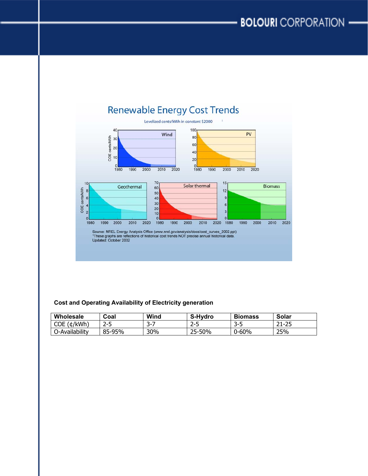

## **Cost and Operating Availability of Electricity generation**

| Wholesale      | Coal        | Wind | S-Hydro | <b>Biomass</b> | Solar                   |
|----------------|-------------|------|---------|----------------|-------------------------|
| (t/kWh)<br>COE | つこに<br>ر –ے | --   | כ-2     | -2-L<br>◡      | חר<br>า 1<br>. .<br>رے۔ |
| C-Availability | 85-95%      | 30%  | 25-50%  | $0 - 60%$      | 25%                     |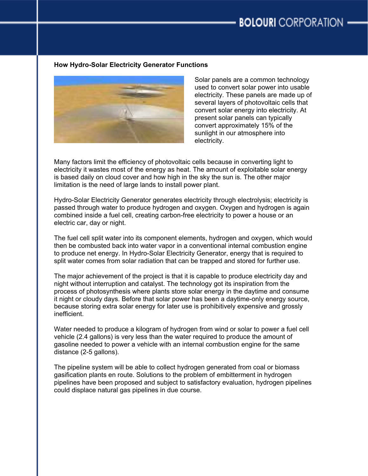# **How Hydro-Solar Electricity Generator Functions**



Solar panels are a common technology used to convert solar power into usable electricity. These panels are made up of several layers of photovoltaic cells that convert solar energy into electricity. At present solar panels can typically convert approximately 15% of the sunlight in our atmosphere into electricity.

Many factors limit the efficiency of photovoltaic cells because in converting light to electricity it wastes most of the energy as heat. The amount of exploitable solar energy is based daily on cloud cover and how high in the sky the sun is. The other major limitation is the need of large lands to install power plant.

Hydro-Solar Electricity Generator generates electricity through electrolysis; electricity is passed through water to produce hydrogen and oxygen. Oxygen and hydrogen is again combined inside a fuel cell, creating carbon-free electricity to power a house or an electric car, day or night.

The fuel cell split water into its component elements, hydrogen and oxygen, which would then be combusted back into water vapor in a conventional internal combustion engine to produce net energy. In Hydro-Solar Electricity Generator, energy that is required to split water comes from solar radiation that can be trapped and stored for further use.

The major achievement of the project is that it is capable to produce electricity day and night without interruption and catalyst. The technology got its inspiration from the process of photosynthesis where plants store solar energy in the daytime and consume it night or cloudy days. Before that solar power has been a daytime-only energy source, because storing extra solar energy for later use is prohibitively expensive and grossly inefficient.

Water needed to produce a kilogram of hydrogen from wind or solar to power a fuel cell vehicle (2.4 gallons) is very less than the water required to produce the amount of gasoline needed to power a vehicle with an internal combustion engine for the same distance (2-5 gallons).

The pipeline system will be able to collect hydrogen generated from coal or biomass gasification plants en route. Solutions to the problem of embitterment in hydrogen pipelines have been proposed and subject to satisfactory evaluation, hydrogen pipelines could displace natural gas pipelines in due course.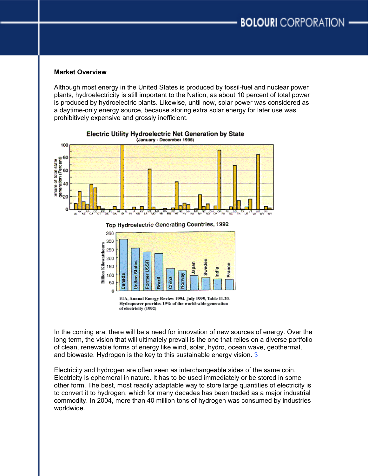#### **Market Overview**

Although most energy in the United States is produced by fossil-fuel and nuclear power plants, hydroelectricity is still important to the Nation, as about 10 percent of total power is produced by hydroelectric plants. Likewise, until now, solar power was considered as a daytime-only energy source, because storing extra solar energy for later use was prohibitively expensive and grossly inefficient.



#### Electric Utility Hydroelectric Net Generation by State (January - December 1995)

O

In the coming era, there will be a need for innovation of new sources of energy. Over the long term, the vision that will ultimately prevail is the one that relies on a diverse portfolio of clean, renewable forms of energy like wind, solar, hydro, ocean wave, geothermal, and biowaste. Hydrogen is the key to this sustainable energy vision. 3

Electricity and hydrogen are often seen as interchangeable sides of the same coin. Electricity is ephemeral in nature. It has to be used immediately or be stored in some other form. The best, most readily adaptable way to store large quantities of electricity is to convert it to hydrogen, which for many decades has been traded as a major industrial commodity. In 2004, more than 40 million tons of hydrogen was consumed by industries worldwide.

EIA, Annual Energy Review 1994. July 1995, Table 11.20. Hydropower provides 19% of the world-wide generation of electricity (1992)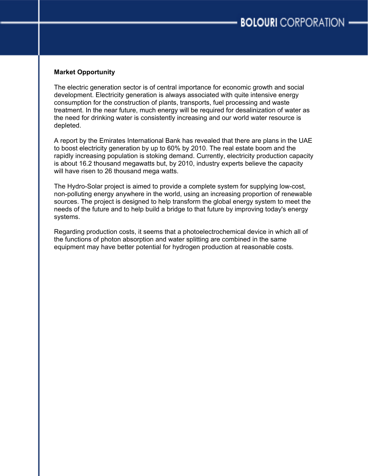# **Market Opportunity**

The electric generation sector is of central importance for economic growth and social development. Electricity generation is always associated with quite intensive energy consumption for the construction of plants, transports, fuel processing and waste treatment. In the near future, much energy will be required for desalinization of water as the need for drinking water is consistently increasing and our world water resource is depleted.

A report by the Emirates International Bank has revealed that there are plans in the UAE to boost electricity generation by up to 60% by 2010. The real estate boom and the rapidly increasing population is stoking demand. Currently, electricity production capacity is about 16.2 thousand megawatts but, by 2010, industry experts believe the capacity will have risen to 26 thousand mega watts.

The Hydro-Solar project is aimed to provide a complete system for supplying low-cost, non-polluting energy anywhere in the world, using an increasing proportion of renewable sources. The project is designed to help transform the global energy system to meet the needs of the future and to help build a bridge to that future by improving today's energy systems.

Regarding production costs, it seems that a photoelectrochemical device in which all of the functions of photon absorption and water splitting are combined in the same equipment may have better potential for hydrogen production at reasonable costs.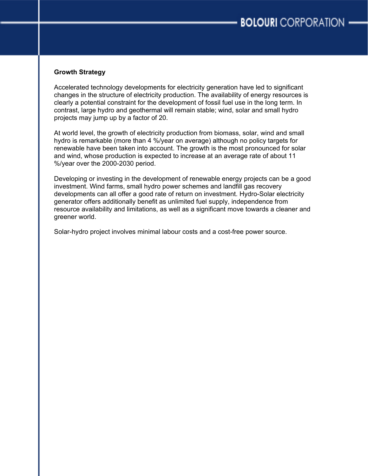# **Growth Strategy**

Accelerated technology developments for electricity generation have led to significant changes in the structure of electricity production. The availability of energy resources is clearly a potential constraint for the development of fossil fuel use in the long term. In contrast, large hydro and geothermal will remain stable; wind, solar and small hydro projects may jump up by a factor of 20.

At world level, the growth of electricity production from biomass, solar, wind and small hydro is remarkable (more than 4 %/year on average) although no policy targets for renewable have been taken into account. The growth is the most pronounced for solar and wind, whose production is expected to increase at an average rate of about 11 %/year over the 2000-2030 period.

Developing or investing in the development of renewable energy projects can be a good investment. Wind farms, small hydro power schemes and landfill gas recovery developments can all offer a good rate of return on investment. Hydro-Solar electricity generator offers additionally benefit as unlimited fuel supply, independence from resource availability and limitations, as well as a significant move towards a cleaner and greener world.

Solar-hydro project involves minimal labour costs and a cost-free power source.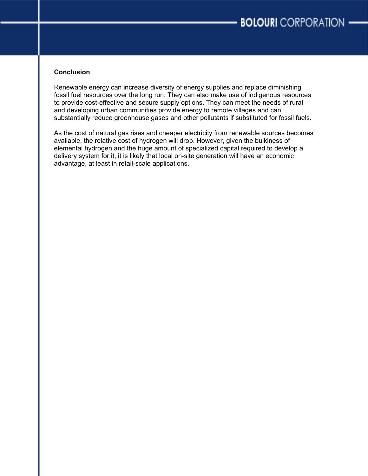# **Conclusion**

Renewable energy can increase diversity of energy supplies and replace diminishing fossil fuel resources over the long run. They can also make use of indigenous resources to provide cost-effective and secure supply options. They can meet the needs of rural and developing urban communities provide energy to remote villages and can substantially reduce greenhouse gases and other pollutants if substituted for fossil fuels.

As the cost of natural gas rises and cheaper electricity from renewable sources becomes available, the relative cost of hydrogen will drop. However, given the bulkiness of elemental hydrogen and the huge amount of specialized capital required to develop a delivery system for it, it is likely that local on-site generation will have an economic advantage, at least in retail-scale applications.